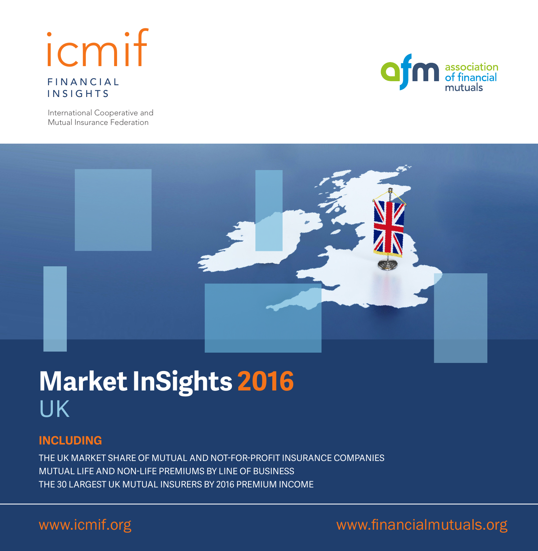## FINANCIAL INSIGHTS icmif



International Cooperative and Mutual Insurance Federation



# **Market InSights 2016** UK

## **INCLUDING**

THE UK MARKET SHARE OF MUTUAL AND NOT-FOR-PROFIT INSURANCE COMPANIES MUTUAL LIFE AND NON-LIFE PREMIUMS BY LINE OF BUSINESS THE 30 LARGEST UK MUTUAL INSURERS BY 2016 PREMIUM INCOME

## www.icmif.org www.financialmutuals.org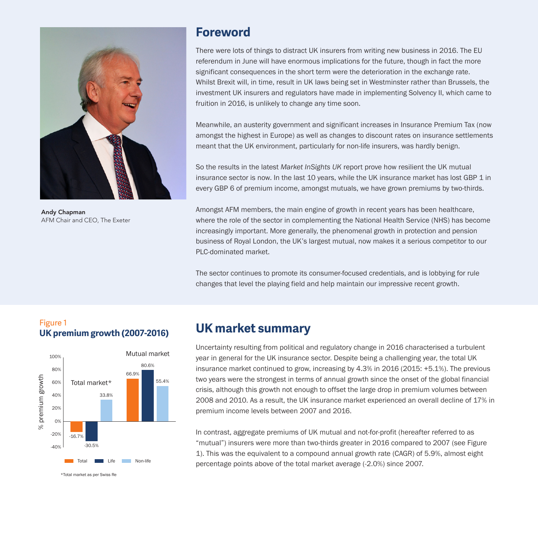

Andy Chapman AFM Chair and CEO, The Exeter

## **Foreword**

There were lots of things to distract UK insurers from writing new business in 2016. The EU referendum in June will have enormous implications for the future, though in fact the more significant consequences in the short term were the deterioration in the exchange rate. Whilst Brexit will, in time, result in UK laws being set in Westminster rather than Brussels, the investment UK insurers and regulators have made in implementing Solvency II, which came to fruition in 2016, is unlikely to change any time soon.

Meanwhile, an austerity government and significant increases in Insurance Premium Tax (now amongst the highest in Europe) as well as changes to discount rates on insurance settlements meant that the UK environment, particularly for non-life insurers, was hardly benign.

So the results in the latest *Market InSights UK* report prove how resilient the UK mutual insurance sector is now. In the last 10 years, while the UK insurance market has lost GBP 1 in every GBP 6 of premium income, amongst mutuals, we have grown premiums by two-thirds.

Amongst AFM members, the main engine of growth in recent years has been healthcare, where the role of the sector in complementing the National Health Service (NHS) has become increasingly important. More generally, the phenomenal growth in protection and pension business of Royal London, the UK's largest mutual, now makes it a serious competitor to our PLC-dominated market.

The sector continues to promote its consumer-focused credentials, and is lobbying for rule changes that level the playing field and help maintain our impressive recent growth.

### Figure 1 **UK premium growth (2007-2016)**



## **UK market summary**

Uncertainty resulting from political and regulatory change in 2016 characterised a turbulent year in general for the UK insurance sector. Despite being a challenging year, the total UK insurance market continued to grow, increasing by 4.3% in 2016 (2015: +5.1%). The previous two years were the strongest in terms of annual growth since the onset of the global financial crisis, although this growth not enough to offset the large drop in premium volumes between 2008 and 2010. As a result, the UK insurance market experienced an overall decline of 17% in premium income levels between 2007 and 2016.

In contrast, aggregate premiums of UK mutual and not-for-profit (hereafter referred to as "mutual") insurers were more than two-thirds greater in 2016 compared to 2007 (see Figure 1). This was the equivalent to a compound annual growth rate (CAGR) of 5.9%, almost eight percentage points above of the total market average (-2.0%) since 2007.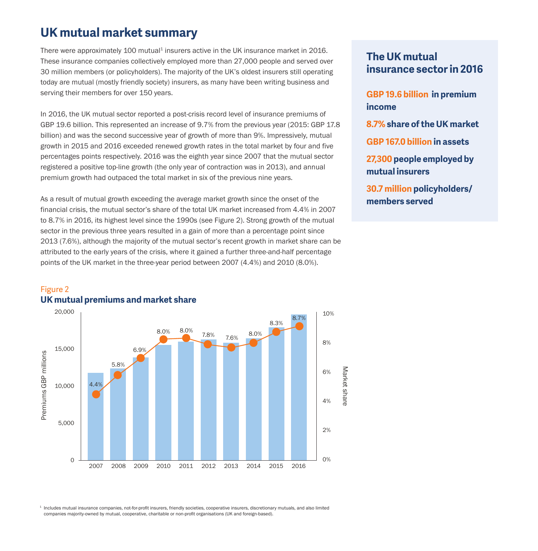## **UK mutual market summary**

There were approximately 100 mutual<sup>1</sup> insurers active in the UK insurance market in 2016. These insurance companies collectively employed more than 27,000 people and served over 30 million members (or policyholders). The majority of the UK's oldest insurers still operating today are mutual (mostly friendly society) insurers, as many have been writing business and serving their members for over 150 years.

In 2016, the UK mutual sector reported a post-crisis record level of insurance premiums of GBP 19.6 billion. This represented an increase of 9.7% from the previous year (2015: GBP 17.8 billion) and was the second successive year of growth of more than 9%. Impressively, mutual growth in 2015 and 2016 exceeded renewed growth rates in the total market by four and five percentages points respectively. 2016 was the eighth year since 2007 that the mutual sector registered a positive top-line growth (the only year of contraction was in 2013), and annual premium growth had outpaced the total market in six of the previous nine years.

As a result of mutual growth exceeding the average market growth since the onset of the financial crisis, the mutual sector's share of the total UK market increased from 4.4% in 2007 to 8.7% in 2016, its highest level since the 1990s (see Figure 2). Strong growth of the mutual sector in the previous three years resulted in a gain of more than a percentage point since 2013 (7.6%), although the majority of the mutual sector's recent growth in market share can be attributed to the early years of the crisis, where it gained a further three-and-half percentage points of the UK market in the three-year period between 2007 (4.4%) and 2010 (8.0%).

### **The UK mutual insurance sector in 2016**

**GBP 19.6 billion in premium income**

- **8.7% share of the UK market**
- **GBP 167.0 billion in assets**
- **27,300 people employed by mutual insurers**

**30.7 million policyholders/ members served**

#### Figure 2 **UK mutual premiums and market share**



<sup>1</sup> Includes mutual insurance companies, not-for-profit insurers, friendly societies, cooperative insurers, discretionary mutuals, and also limited companies majority-owned by mutual, cooperative, charitable or non-proft organisations (UK and foreign-based).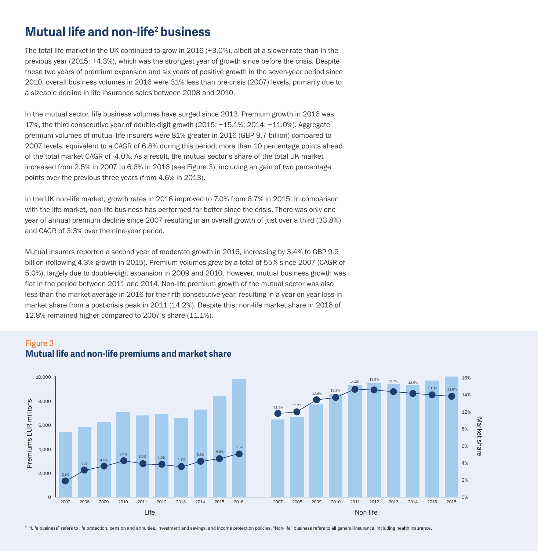## **Mutual life and non-life2 business**

The total life market in the UK continued to grow in 2016 (+3.0%), albeit at a slower rate than in the previous year (2015: +4.3%), which was the strongest year of growth since before the crisis. Despite these two years of premium expansion and six years of positive growth in the seven-year period since 2010, overall business volumes in 2016 were 31% less than pre-crisis (2007) levels, primarily due to a sizeable decline in life insurance sales between 2008 and 2010.

In the mutual sector, life business volumes have surged since 2013. Premium growth in 2016 was 17%, the third consecutive year of double-digit growth (2015: +15.1%; 2014: +11.0%). Aggregate premium volumes of mutual life insurers were 81% greater in 2016 (GBP 9.7 billion) compared to 2007 levels, equivalent to a CAGR of 6.8% during this period; more than 10 percentage points ahead of the total market CAGR of -4.0%. As a result, the mutual sector's share of the total UK market increased from 2.5% in 2007 to 6.6% in 2016 (see Figure 3), including an gain of two percentage points over the previous three years (from 4.6% in 2013).

In the UK non-life market, growth rates in 2016 improved to 7.0% from 6.7% in 2015. In comparison with the life market, non-life business has performed far better since the crisis. There was only one year of annual premium decline since 2007 resulting in an overall growth of just over a third (33.8%) and CAGR of 3.3% over the nine-year period.

Mutual insurers reported a second year of moderate growth in 2016, increasing by 3.4% to GBP 9.9 billion (following 4.3% growth in 2015). Premium volumes grew by a total of 55% since 2007 (CAGR of 5.0%), largely due to double-digit expansion in 2009 and 2010. However, mutual business growth was flat in the period between 2011 and 2014. Non-life premium growth of the mutual sector was also less than the market average in 2016 for the fifth consecutive year, resulting in a year-on-year loss in market share from a post-crisis peak in 2011 (14.2%). Despite this, non-life market share in 2016 of 12.8% remained higher compared to 2007's share (11.1%).

#### Figure 3 **Mutual life and non-life premiums and market share**



<sup>2</sup> "Life business" refers to life protection, pension and annuities, investment and savings, and income protection policies. "Non-life" business refers to all general insurance, including health insurance.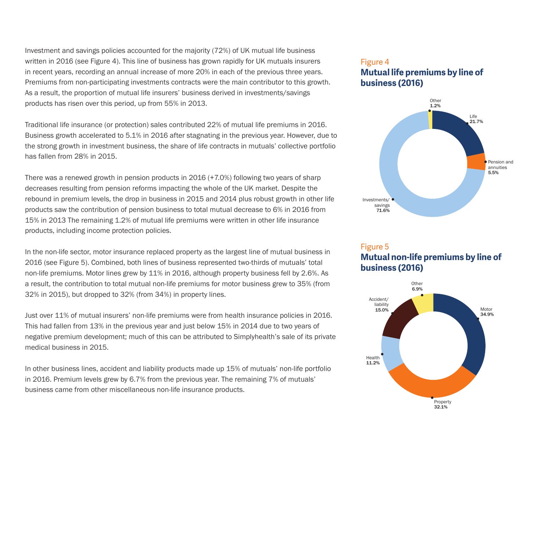Investment and savings policies accounted for the majority (72%) of UK mutual life business written in 2016 (see Figure 4). This line of business has grown rapidly for UK mutuals insurers in recent years, recording an annual increase of more 20% in each of the previous three years. Premiums from non-participating investments contracts were the main contributor to this growth. As a result, the proportion of mutual life insurers' business derived in investments/savings products has risen over this period, up from 55% in 2013.

Traditional life insurance (or protection) sales contributed 22% of mutual life premiums in 2016. Business growth accelerated to 5.1% in 2016 after stagnating in the previous year. However, due to the strong growth in investment business, the share of life contracts in mutuals' collective portfolio has fallen from 28% in 2015.

There was a renewed growth in pension products in 2016 (+7.0%) following two years of sharp decreases resulting from pension reforms impacting the whole of the UK market. Despite the rebound in premium levels, the drop in business in 2015 and 2014 plus robust growth in other life products saw the contribution of pension business to total mutual decrease to 6% in 2016 from 15% in 2013 The remaining 1.2% of mutual life premiums were written in other life insurance products, including income protection policies.

In the non-life sector, motor insurance replaced property as the largest line of mutual business in 2016 (see Figure 5). Combined, both lines of business represented two-thirds of mutuals' total non-life premiums. Motor lines grew by 11% in 2016, although property business fell by 2.6%. As a result, the contribution to total mutual non-life premiums for motor business grew to 35% (from 32% in 2015), but dropped to 32% (from 34%) in property lines.

Just over 11% of mutual insurers' non-life premiums were from health insurance policies in 2016. This had fallen from 13% in the previous year and just below 15% in 2014 due to two years of negative premium development; much of this can be attributed to Simplyhealth's sale of its private medical business in 2015.

In other business lines, accident and liability products made up 15% of mutuals' non-life portfolio in 2016. Premium levels grew by 6.7% from the previous year. The remaining 7% of mutuals' business came from other miscellaneous non-life insurance products.

#### Figure 4 **Mutual life premiums by line of business (2016)**



#### Figure 5 **Mutual non-life premiums by line of business (2016)**

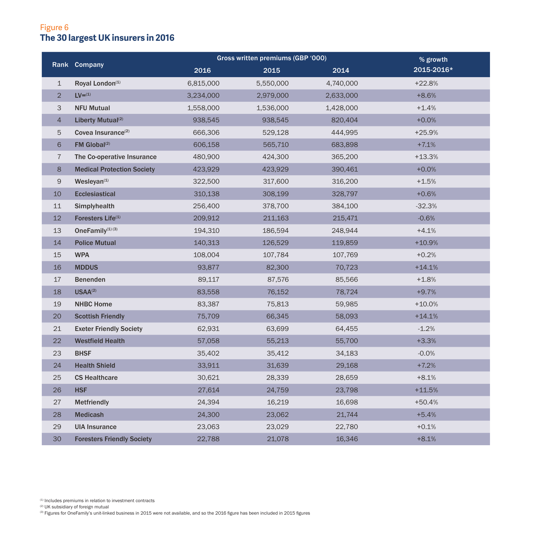### Figure 6 **The 30 largest UK insurers in 2016**

|                | Rank Company                      | Gross written premiums (GBP '000) |           |           | % growth   |
|----------------|-----------------------------------|-----------------------------------|-----------|-----------|------------|
|                |                                   | 2016                              | 2015      | 2014      | 2015-2016* |
| $\mathbf{1}$   | Royal London <sup>(1)</sup>       | 6,815,000                         | 5,550,000 | 4,740,000 | $+22.8%$   |
| $\overline{2}$ | $LV=(1)$                          | 3,234,000                         | 2,979,000 | 2,633,000 | $+8.6%$    |
| 3              | <b>NFU Mutual</b>                 | 1,558,000                         | 1,536,000 | 1,428,000 | $+1.4%$    |
| 4              | Liberty Mutual <sup>(2)</sup>     | 938,545                           | 938,545   | 820,404   | $+0.0%$    |
| 5              | Covea Insurance <sup>(2)</sup>    | 666,306                           | 529,128   | 444,995   | $+25.9%$   |
| 6              | $FM$ Global <sup>(2)</sup>        | 606,158                           | 565,710   | 683,898   | $+7.1%$    |
| 7              | The Co-operative Insurance        | 480,900                           | 424,300   | 365,200   | $+13.3%$   |
| 8              | <b>Medical Protection Society</b> | 423,929                           | 423,929   | 390,461   | $+0.0%$    |
| 9              | $W$ esleyan $(1)$                 | 322,500                           | 317,600   | 316,200   | $+1.5%$    |
| 10             | <b>Ecclesiastical</b>             | 310,138                           | 308,199   | 328,797   | $+0.6%$    |
| 11             | Simplyhealth                      | 256,400                           | 378,700   | 384,100   | $-32.3%$   |
| 12             | Foresters Life <sup>(1)</sup>     | 209,912                           | 211,163   | 215,471   | $-0.6%$    |
| 13             | OneFamily <sup>(1)</sup> (3)      | 194,310                           | 186,594   | 248,944   | $+4.1%$    |
| 14             | <b>Police Mutual</b>              | 140,313                           | 126,529   | 119,859   | $+10.9%$   |
| 15             | <b>WPA</b>                        | 108,004                           | 107,784   | 107,769   | $+0.2%$    |
| 16             | <b>MDDUS</b>                      | 93,877                            | 82,300    | 70,723    | $+14.1%$   |
| 17             | <b>Benenden</b>                   | 89,117                            | 87,576    | 85,566    | $+1.8%$    |
| 18             | $USAA^{(2)}$                      | 83,558                            | 76,152    | 78,724    | $+9.7%$    |
| 19             | <b>NHBC Home</b>                  | 83,387                            | 75,813    | 59,985    | $+10.0%$   |
| 20             | <b>Scottish Friendly</b>          | 75,709                            | 66,345    | 58,093    | $+14.1%$   |
| 21             | <b>Exeter Friendly Society</b>    | 62,931                            | 63,699    | 64,455    | $-1.2%$    |
| 22             | <b>Westfield Health</b>           | 57,058                            | 55,213    | 55,700    | $+3.3%$    |
| 23             | <b>BHSF</b>                       | 35,402                            | 35,412    | 34,183    | $-0.0%$    |
| 24             | <b>Health Shield</b>              | 33,911                            | 31,639    | 29,168    | $+7.2%$    |
| 25             | <b>CS Healthcare</b>              | 30,621                            | 28,339    | 28,659    | $+8.1%$    |
| 26             | <b>HSF</b>                        | 27,614                            | 24,759    | 23,798    | $+11.5%$   |
| 27             | Metfriendly                       | 24,394                            | 16,219    | 16,698    | $+50.4%$   |
| 28             | <b>Medicash</b>                   | 24,300                            | 23,062    | 21,744    | $+5.4%$    |
| 29             | <b>UIA Insurance</b>              | 23,063                            | 23,029    | 22,780    | $+0.1%$    |
| 30             | <b>Foresters Friendly Society</b> | 22,788                            | 21,078    | 16,346    | $+8.1%$    |

<sup>(1)</sup> Includes premiums in relation to investment contracts<br><sup>@</sup> UK subsidiary of foreign mutual<br>® Figures for OneFamily's unit-linked business in 2015 were not available, and so the 2016 figure has been included in 2015 f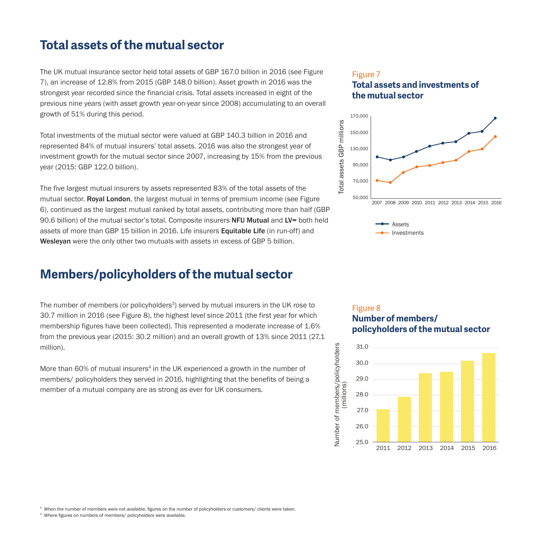## **Total assets of the mutual sector**

The UK mutual insurance sector held total assets of GBP 167.0 billion in 2016 (see Figure 7), an increase of 12.8% from 2015 (GBP 148.0 billion). Asset growth in 2016 was the strongest year recorded since the financial crisis. Total assets increased in eight of the previous nine years (with asset growth year-on-year since 2008) accumulating to an overall growth of 51% during this period.

Total investments of the mutual sector were valued at GBP 140.3 billion in 2016 and represented 84% of mutual insurers' total assets. 2016 was also the strongest year of investment growth for the mutual sector since 2007, increasing by 15% from the previous year (2015: GBP 122.0 billion).

The five largest mutual insurers by assets represented 83% of the total assets of the mutual sector. **Royal London**, the largest mutual in terms of premium income (see Figure 6), continued as the largest mutual ranked by total assets, contributing more than half (GBP 90.6 billion) of the mutual sector's total. Composite insurers **NFU Mutual** and LV= both held assets of more than GBP 15 billion in 2016. Life insurers Equitable Life (in run-off) and Wesleyan were the only other two mutuals with assets in excess of GBP 5 billion.

## **Members/policyholders of the mutual sector**

The number of members (or policyholders $3$ ) served by mutual insurers in the UK rose to 30.7 million in 2016 (see Figure 8), the highest level since 2011 (the first year for which membership figures have been collected). This represented a moderate increase of 1.6% from the previous year (2015: 30.2 million) and an overall growth of 13% since 2011 (27.1 million).

More than 60% of mutual insurers<sup>4</sup> in the UK experienced a growth in the number of members/ policyholders they served in 2016, highlighting that the benefits of being a member of a mutual company are as strong as ever for UK consumers.

### Figure 7 **Total assets and investments of the mutual sector**



#### Figure 8 **Number of members/ policyholders of the mutual sector**



<sup>3</sup> When the number of members were not available, figures on the number of policyholders or customers/ clients were taken.

<sup>4</sup> Where fgures on numbers of members/ policyholders were available.